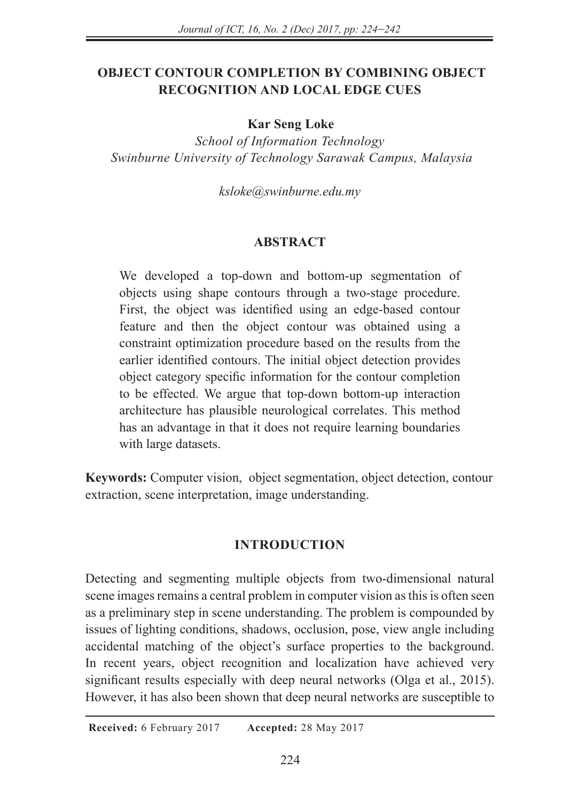# **OBJECT CONTOUR COMPLETION BY COMBINING OBJECT RECOGNITION AND LOCAL EDGE CUES**

#### **Kar Seng Loke**

*School of Information Technology Swinburne University of Technology Sarawak Campus, Malaysia* 

*ksloke@swinburne.edu.my*

#### **ABSTRACT**

We developed a top-down and bottom-up segmentation of objects using shape contours through a two-stage procedure. First, the object was identified using an edge-based contour feature and then the object contour was obtained using a constraint optimization procedure based on the results from the earlier identified contours. The initial object detection provides object category specific information for the contour completion to be effected. We argue that top-down bottom-up interaction architecture has plausible neurological correlates. This method has an advantage in that it does not require learning boundaries with large datasets.

**Keywords:** Computer vision, object segmentation, object detection, contour extraction, scene interpretation, image understanding.

## **INTRODUCTION**

Detecting and segmenting multiple objects from two-dimensional natural scene images remains a central problem in computer vision as this is often seen as a preliminary step in scene understanding. The problem is compounded by issues of lighting conditions, shadows, occlusion, pose, view angle including accidental matching of the object's surface properties to the background. In recent years, object recognition and localization have achieved very significant results especially with deep neural networks (Olga et al., 2015). However, it has also been shown that deep neural networks are susceptible to

 **Received:** 6 February 2017 **Accepted:** 28 May 2017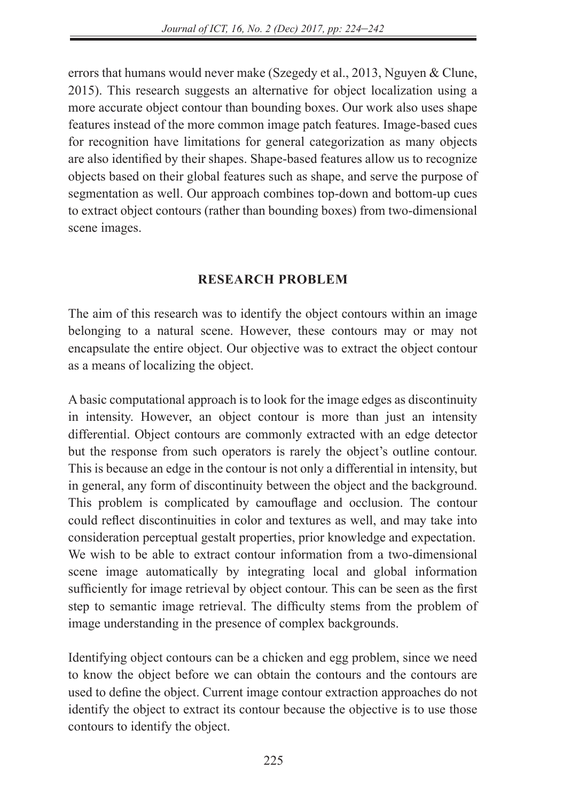errors that humans would never make (Szegedy et al., 2013, Nguyen & Clune, 2015). This research suggests an alternative for object localization using a more accurate object contour than bounding boxes. Our work also uses shape features instead of the more common image patch features. Image-based cues for recognition have limitations for general categorization as many objects are also identified by their shapes. Shape-based features allow us to recognize objects based on their global features such as shape, and serve the purpose of segmentation as well. Our approach combines top-down and bottom-up cues to extract object contours (rather than bounding boxes) from two-dimensional scene images.

## **RESEARCH PROBLEM**

The aim of this research was to identify the object contours within an image belonging to a natural scene. However, these contours may or may not encapsulate the entire object. Our objective was to extract the object contour as a means of localizing the object.

A basic computational approach is to look for the image edges as discontinuity in intensity. However, an object contour is more than just an intensity differential. Object contours are commonly extracted with an edge detector but the response from such operators is rarely the object's outline contour. This is because an edge in the contour is not only a differential in intensity, but in general, any form of discontinuity between the object and the background. This problem is complicated by camouflage and occlusion. The contour could reflect discontinuities in color and textures as well, and may take into consideration perceptual gestalt properties, prior knowledge and expectation. We wish to be able to extract contour information from a two-dimensional scene image automatically by integrating local and global information sufficiently for image retrieval by object contour. This can be seen as the first step to semantic image retrieval. The difficulty stems from the problem of image understanding in the presence of complex backgrounds.

Identifying object contours can be a chicken and egg problem, since we need to know the object before we can obtain the contours and the contours are used to define the object. Current image contour extraction approaches do not identify the object to extract its contour because the objective is to use those contours to identify the object.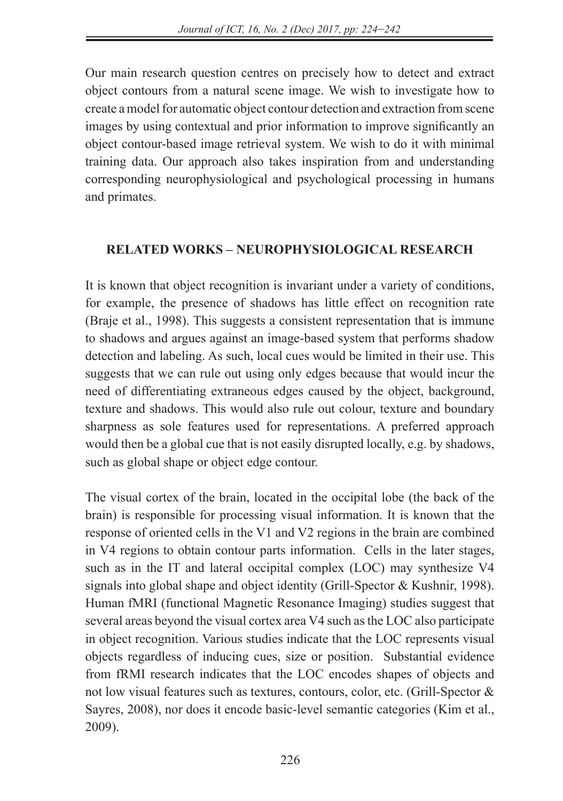Our main research question centres on precisely how to detect and extract object contours from a natural scene image. We wish to investigate how to create a model for automatic object contour detection and extraction from scene images by using contextual and prior information to improve significantly an object contour-based image retrieval system. We wish to do it with minimal training data. Our approach also takes inspiration from and understanding corresponding neurophysiological and psychological processing in humans and primates.

# **RELATED WORKS – NEUROPHYSIOLOGICAL RESEARCH**

It is known that object recognition is invariant under a variety of conditions, for example, the presence of shadows has little effect on recognition rate (Braje et al., 1998). This suggests a consistent representation that is immune to shadows and argues against an image-based system that performs shadow detection and labeling. As such, local cues would be limited in their use. This suggests that we can rule out using only edges because that would incur the need of differentiating extraneous edges caused by the object, background, texture and shadows. This would also rule out colour, texture and boundary sharpness as sole features used for representations. A preferred approach would then be a global cue that is not easily disrupted locally, e.g. by shadows, such as global shape or object edge contour.

The visual cortex of the brain, located in the occipital lobe (the back of the brain) is responsible for processing visual information. It is known that the response of oriented cells in the V1 and V2 regions in the brain are combined in V4 regions to obtain contour parts information. Cells in the later stages, such as in the IT and lateral occipital complex (LOC) may synthesize V4 signals into global shape and object identity (Grill-Spector & Kushnir, 1998). Human fMRI (functional Magnetic Resonance Imaging) studies suggest that several areas beyond the visual cortex area V4 such as the LOC also participate in object recognition. Various studies indicate that the LOC represents visual objects regardless of inducing cues, size or position. Substantial evidence from fRMI research indicates that the LOC encodes shapes of objects and not low visual features such as textures, contours, color, etc. (Grill-Spector & Sayres, 2008), nor does it encode basic-level semantic categories (Kim et al., 2009).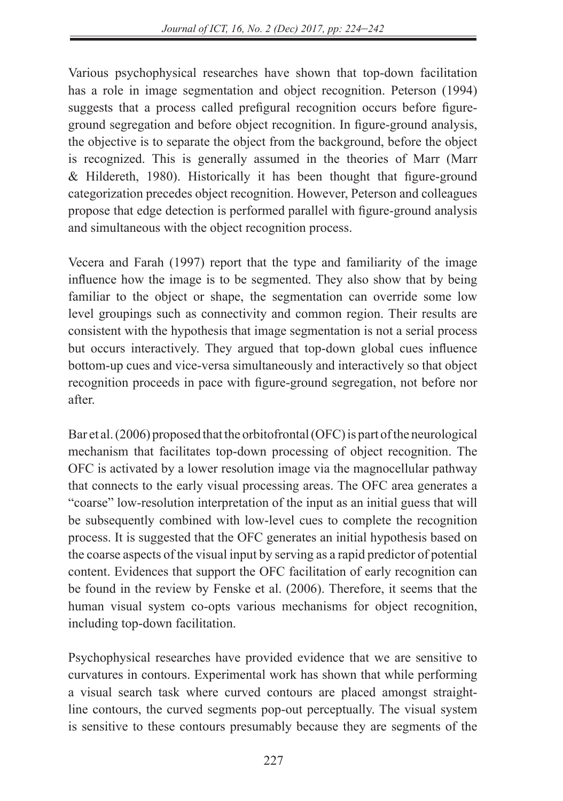Various psychophysical researches have shown that top-down facilitation has a role in image segmentation and object recognition. Peterson (1994) suggests that a process called prefigural recognition occurs before figureground segregation and before object recognition. In figure-ground analysis, the objective is to separate the object from the background, before the object is recognized. This is generally assumed in the theories of Marr (Marr & Hildereth, 1980). Historically it has been thought that figure-ground categorization precedes object recognition. However, Peterson and colleagues propose that edge detection is performed parallel with figure-ground analysis and simultaneous with the object recognition process.

Vecera and Farah (1997) report that the type and familiarity of the image influence how the image is to be segmented. They also show that by being familiar to the object or shape, the segmentation can override some low level groupings such as connectivity and common region. Their results are consistent with the hypothesis that image segmentation is not a serial process but occurs interactively. They argued that top-down global cues influence bottom-up cues and vice-versa simultaneously and interactively so that object recognition proceeds in pace with figure-ground segregation, not before nor after.

Bar et al. (2006) proposed that the orbitofrontal (OFC) is part of the neurological mechanism that facilitates top-down processing of object recognition. The OFC is activated by a lower resolution image via the magnocellular pathway that connects to the early visual processing areas. The OFC area generates a "coarse" low-resolution interpretation of the input as an initial guess that will be subsequently combined with low-level cues to complete the recognition process. It is suggested that the OFC generates an initial hypothesis based on the coarse aspects of the visual input by serving as a rapid predictor of potential content. Evidences that support the OFC facilitation of early recognition can be found in the review by Fenske et al. (2006). Therefore, it seems that the human visual system co-opts various mechanisms for object recognition, including top-down facilitation.

Psychophysical researches have provided evidence that we are sensitive to curvatures in contours. Experimental work has shown that while performing a visual search task where curved contours are placed amongst straightline contours, the curved segments pop-out perceptually. The visual system is sensitive to these contours presumably because they are segments of the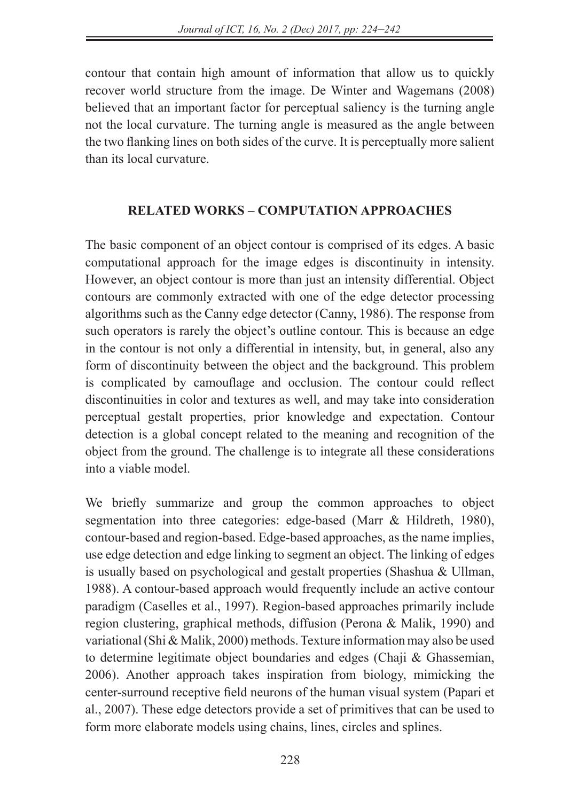contour that contain high amount of information that allow us to quickly recover world structure from the image. De Winter and Wagemans (2008) believed that an important factor for perceptual saliency is the turning angle not the local curvature. The turning angle is measured as the angle between the two flanking lines on both sides of the curve. It is perceptually more salient than its local curvature.

# **RELATED WORKS – COMPUTATION APPROACHES**

The basic component of an object contour is comprised of its edges. A basic computational approach for the image edges is discontinuity in intensity. However, an object contour is more than just an intensity differential. Object contours are commonly extracted with one of the edge detector processing algorithms such as the Canny edge detector (Canny, 1986). The response from such operators is rarely the object's outline contour. This is because an edge in the contour is not only a differential in intensity, but, in general, also any form of discontinuity between the object and the background. This problem is complicated by camouflage and occlusion. The contour could reflect discontinuities in color and textures as well, and may take into consideration perceptual gestalt properties, prior knowledge and expectation. Contour detection is a global concept related to the meaning and recognition of the object from the ground. The challenge is to integrate all these considerations into a viable model.

We briefly summarize and group the common approaches to object segmentation into three categories: edge-based (Marr & Hildreth, 1980), contour-based and region-based. Edge-based approaches, as the name implies, use edge detection and edge linking to segment an object. The linking of edges is usually based on psychological and gestalt properties (Shashua & Ullman, 1988). A contour-based approach would frequently include an active contour paradigm (Caselles et al., 1997). Region-based approaches primarily include region clustering, graphical methods, diffusion (Perona & Malik, 1990) and variational (Shi & Malik, 2000) methods. Texture information may also be used to determine legitimate object boundaries and edges (Chaji & Ghassemian, 2006). Another approach takes inspiration from biology, mimicking the center-surround receptive field neurons of the human visual system (Papari et al., 2007). These edge detectors provide a set of primitives that can be used to form more elaborate models using chains, lines, circles and splines.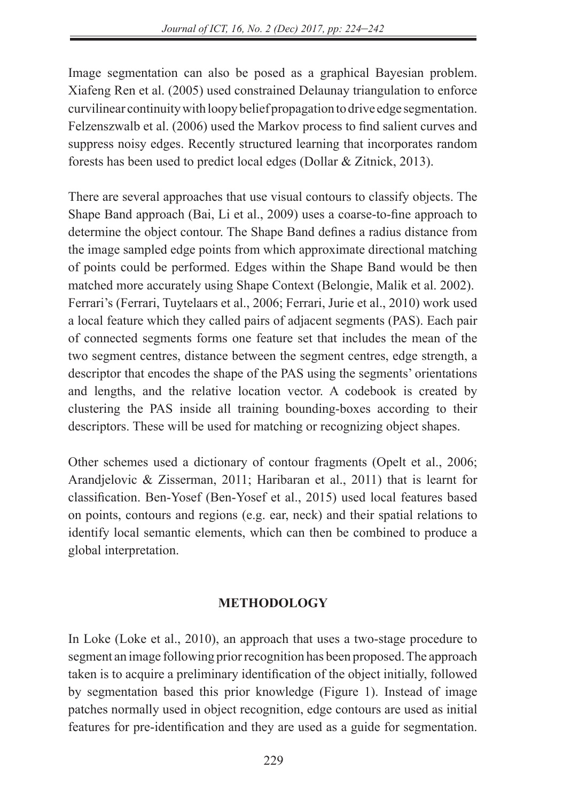Image segmentation can also be posed as a graphical Bayesian problem. Xiafeng Ren et al. (2005) used constrained Delaunay triangulation to enforce curvilinear continuity with loopy belief propagation to drive edge segmentation. Felzenszwalb et al. (2006) used the Markov process to find salient curves and suppress noisy edges. Recently structured learning that incorporates random forests has been used to predict local edges (Dollar & Zitnick, 2013).

There are several approaches that use visual contours to classify objects. The Shape Band approach (Bai, Li et al., 2009) uses a coarse-to-fine approach to determine the object contour. The Shape Band defines a radius distance from the image sampled edge points from which approximate directional matching of points could be performed. Edges within the Shape Band would be then matched more accurately using Shape Context (Belongie, Malik et al. 2002). Ferrari's (Ferrari, Tuytelaars et al., 2006; Ferrari, Jurie et al., 2010) work used a local feature which they called pairs of adjacent segments (PAS). Each pair of connected segments forms one feature set that includes the mean of the two segment centres, distance between the segment centres, edge strength, a descriptor that encodes the shape of the PAS using the segments' orientations and lengths, and the relative location vector. A codebook is created by clustering the PAS inside all training bounding-boxes according to their descriptors. These will be used for matching or recognizing object shapes.

Other schemes used a dictionary of contour fragments (Opelt et al., 2006; Arandjelovic & Zisserman, 2011; Haribaran et al., 2011) that is learnt for classification. Ben-Yosef (Ben-Yosef et al., 2015) used local features based on points, contours and regions (e.g. ear, neck) and their spatial relations to identify local semantic elements, which can then be combined to produce a global interpretation.

# **METHODOLOGY**

In Loke (Loke et al., 2010), an approach that uses a two-stage procedure to segment an image following prior recognition has been proposed. The approach taken is to acquire a preliminary identification of the object initially, followed by segmentation based this prior knowledge (Figure 1). Instead of image patches normally used in object recognition, edge contours are used as initial features for pre-identification and they are used as a guide for segmentation.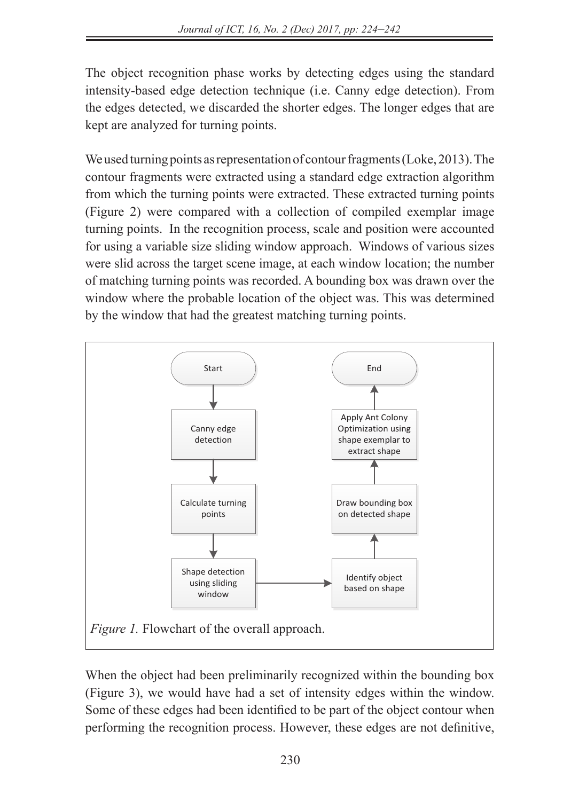The object recognition phase works by detecting edges using the standard intensity-based edge detection technique (i.e. Canny edge detection). From the edges detected, we discarded the shorter edges. The longer edges that are kept are analyzed for turning points.

We used turning points as representation of contour fragments (Loke, 2013). The contour fragments were extracted using a standard edge extraction algorithm from which the turning points were extracted. These extracted turning points (Figure 2) were compared with a collection of compiled exemplar image turning points. In the recognition process, scale and position were accounted for using a variable size sliding window approach. Windows of various sizes were slid across the target scene image, at each window location; the number of matching turning points was recorded. A bounding box was drawn over the window where the probable location of the object was. This was determined by the window that had the greatest matching turning points.



When the object had been preliminarily recognized within the bounding box (Figure 3), we would have had a set of intensity edges within the window. Some of these edges had been identified to be part of the object contour when performing the recognition process. However, these edges are not definitive,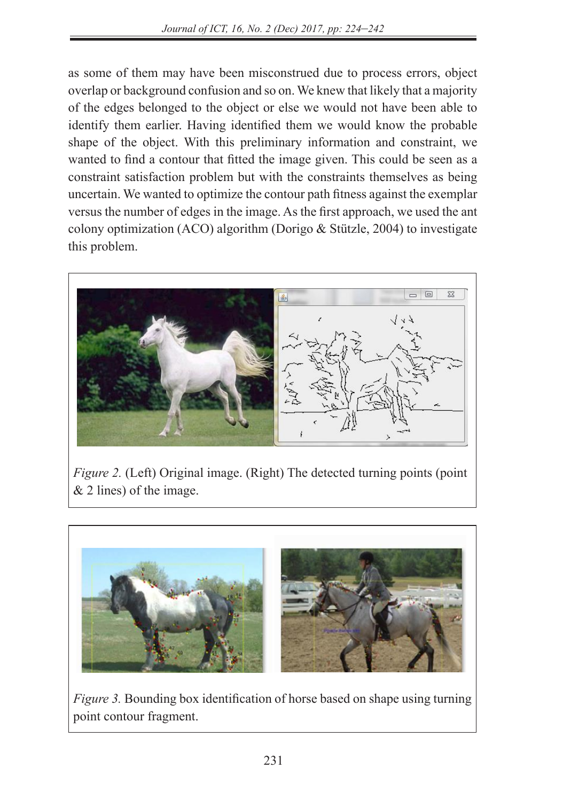as some of them may have been misconstrued due to process errors, object overlap or background confusion and so on. We knew that likely that a majority of the edges belonged to the object or else we would not have been able to identify them earlier. Having identified them we would know the probable shape of the object. With this preliminary information and constraint, we wanted to find a contour that fitted the image given. This could be seen as a constraint satisfaction problem but with the constraints themselves as being uncertain. We wanted to optimize the contour path fitness against the exemplar versus the number of edges in the image. As the first approach, we used the ant colony optimization (ACO) algorithm (Dorigo & Stützle, 2004) to investigate this problem.



*Figure 2. (Left) Original image. (Right) The detected turning points (point* & 2 lines) of the image.  $\omega$ , or the mage. Figure 2. (Left) Original image. (Kight) The detected turning points (point  $\vert$  $\epsilon$  is the first approach, we use the ant colony optimization (ACO) algorithm (Dorigon) algorithm (Dorigon) algorithm (Dorigon) algorithm (Dorigon) algorithm (Dorigon) algorithm (Dorigon) algorithm (Dorigon) algorithm (D

 $\mathcal{L} = \{ \mathcal{L} \mid \mathcal{L} \in \mathcal{L} \}$  to investigate the investigate this problem.



*Figure 3.* Bounding box identification of horse based on shape using turning point contour fragment.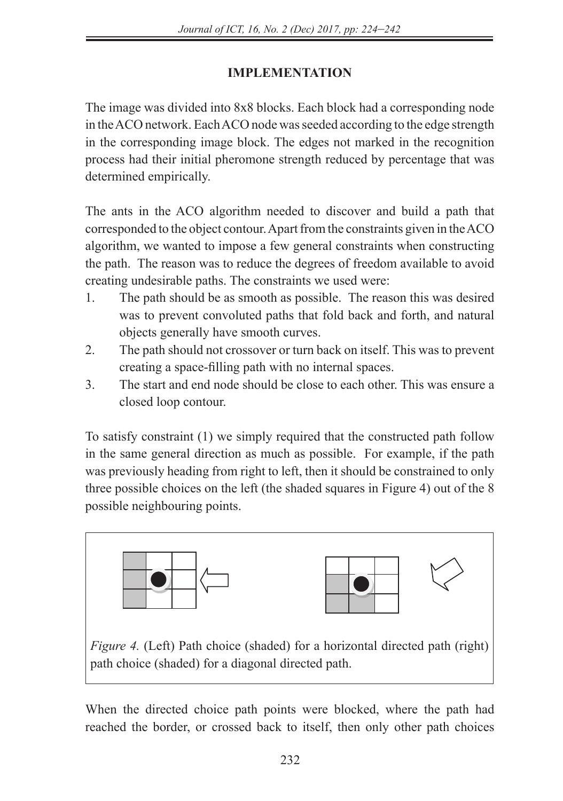# **IMPLEMENTATION**

The image was divided into 8x8 blocks. Each block had a corresponding node in the ACO network. Each ACO node was seeded according to the edge strength in the corresponding image block. The edges not marked in the recognition process had their initial pheromone strength reduced by percentage that was determined empirically.

The ants in the ACO algorithm needed to discover and build a path that corresponded to the object contour. Apart from the constraints given in the ACO algorithm, we wanted to impose a few general constraints when constructing the path. The reason was to reduce the degrees of freedom available to avoid creating undesirable paths. The constraints we used were: 1. The path should be as smooth as possible. The reason this was desired was to prevent convoluted

- 1. The path should be as smooth as possible. The reason this was desired was to prevent convoluted paths that fold back and forth, and natural objects generally have smooth curves.
- 2. The path should not crossover or turn back on itself. This was to prevent creating a space-filling path with no internal spaces.
- 3. The start and end node should be close to each other. This was ensure a closed loop contour.

To satisfy constraint (1) we simply required that the constructed path follow in the same general direction as much as possible. For example, if the path was previously heading from right to left, then it should be constrained to only three possible choices on the left (the shaded squares in Figure 4) out of the  $8$ possible neighbouring points.  $\frac{1}{2}$  in the same general direction as maen as possible. The cample, if the pain



When the directed choice path points were blocked, where the path had reached the border, or crossed back to itself, then only other path choices crossed back to itself, then only other path choices would be made available. For instance, in the above instance, in the above in the above instance, in the above instance, in the above instance, in the above instance, in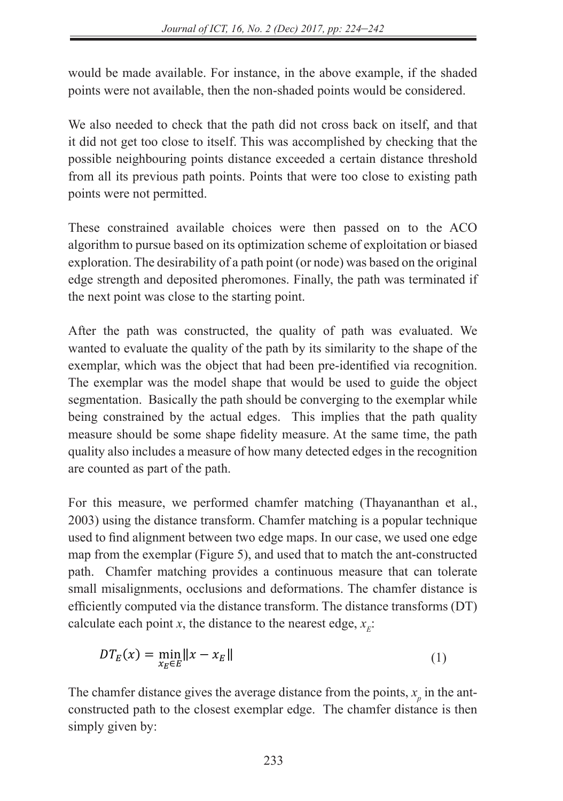would be made available. For instance, in the above example, if the shaded points were not available, then the non-shaded points would be considered.

We also needed to check that the path did not cross back on itself, and that it did not get too close to itself. This was accomplished by checking that the possible neighbouring points distance exceeded a certain distance threshold from all its previous path points. Points that were too close to existing path points were not permitted.

These constrained available choices were then passed on to the ACO algorithm to pursue based on its optimization scheme of exploitation or biased exploration. The desirability of a path point (or node) was based on the original edge strength and deposited pheromones. Finally, the path was terminated if the next point was close to the starting point.

After the path was constructed, the quality of path was evaluated. We wanted to evaluate the quality of the path by its similarity to the shape of the exemplar, which was the object that had been pre-identified via recognition. The exemplar was the model shape that would be used to guide the object segmentation. Basically the path should be converging to the exemplar while being constrained by the actual edges. This implies that the path quality measure should be some shape fidelity measure. At the same time, the path quality also includes a measure of how many detected edges in the recognition are counted as part of the path.

For this measure, we performed chamfer matching (Thayananthan et al., 2003) using the distance transform. Chamfer matching is a popular technique used to find alignment between two edge maps. In our case, we used one edge map from the exemplar (Figure 5), and used that to match the ant-constructed path. Chamfer matching provides a continuous measure that can tolerate small misalignments, occlusions and deformations. The chamfer distance is efficiently computed via the distance transform. The distance transforms (DT) calculate each point *x*, the distance to the nearest edge,  $x<sub>r</sub>$ :

$$
DT_E(x) = \min_{x_E \in E} ||x - x_E|| \tag{1}
$$

The chamfer distance gives the average distance from the points,  $x_p$  in the antconstructed path to the closest exemplar edge. The chamfer distance is then simply given by: simply given by: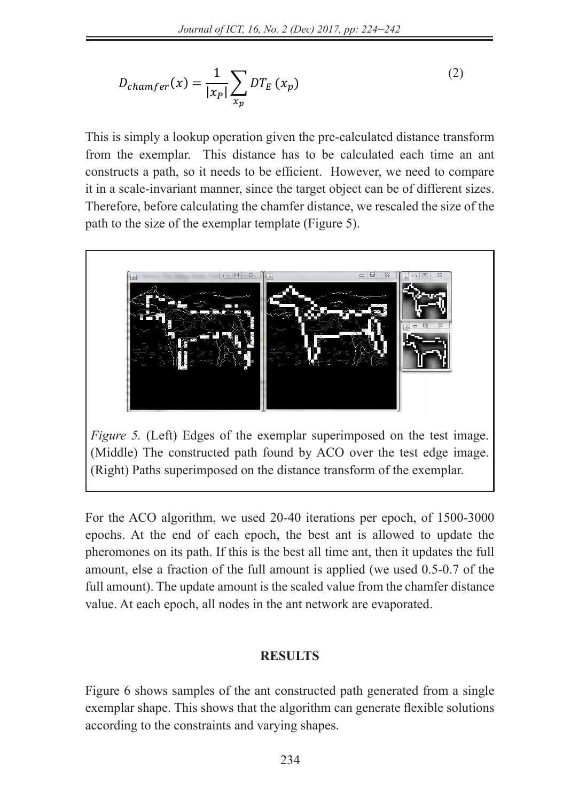$$
D_{chamfer}(x) = \frac{1}{|x_P|} \sum_{x_p} DT_E(x_p)
$$
 (2)

This is simply a lookup operation given the pre-calculated distance transform from the exemplar. This distance has to be calculated each time an ant constructs a path, so it needs to be efficient. However, we need to compare it in a scale-invariant manner, since the target object can be of different sizes. Therefore, before calculating the chamfer distance, we rescaled the size of the path to the size of the exemplar template (Figure 5).



*Figure 5.* (Left) Edges of the exemplar superimposed on the test image. (Middle) The constructed path found by ACO over the test edge image. (Right) Paths superimposed on the distance transform of the exemplar.

*found by ACO over the test edge image. (Right) Paths superimposed on the distance transform of the* 

For the ACO algorithm, we used 20-40 iterations per epoch, of 1500-3000 epochs. At the end of each epoch, the best ant is allowed to update the pheromones on its path. If this is the best all time ant, then it updates the full amount, else a fraction of the full amount is applied (we used 0.5-0.7 of the full amount). The update amount is the scaled value from the chamfer distance value. At each epoch, all nodes in the ant network are evaporated.

#### **RESULTS** amount  $\mathcal{L}$  is the scale distance value from the champer distance value  $\mathcal{L}$

Figure 6 shows samples of the ant constructed path generated from a single exemplar shape. This shows that the algorithm can generate flexible solutions according to the constraints and varying shapes.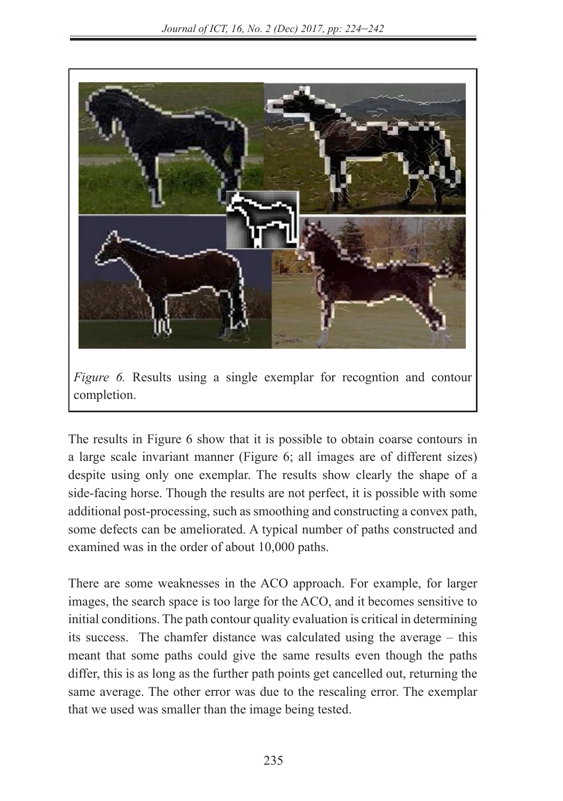

*Figure 6.* Results using a single exemplar for recogntion and contour completion. The results in Figure 6 show that it is possible to obtain contours in a large scale invariant  $\mathbf{r}$ 

The results in Figure 6 show that it is possible to obtain coarse contours in a large scale invariant manner (Figure 6; all images are of different sizes) despite using only one exemplar. The results show clearly the shape of a side-facing horse. Though the results are not perfect, it is possible with some additional post-processing, such as smoothing and constructing a convex path, some defects can be ameliorated. A typical number of paths constructed and  $\frac{1}{2}$  examined was in the order of about 10,000 paths.

There are some weaknesses in the ACO approach. For example, for larger images, the search space is too large for the ACO, and it becomes sensitive to initial conditions. The path contour quality evaluation is critical in determining its success. The chamfer distance was calculated using the average – this meant that some paths could give the same results even though the paths differ, this is as long as the further path points get cancelled out, returning the same average. The other error was due to the rescaling error. The exemplar that we used was smaller than the image being tested.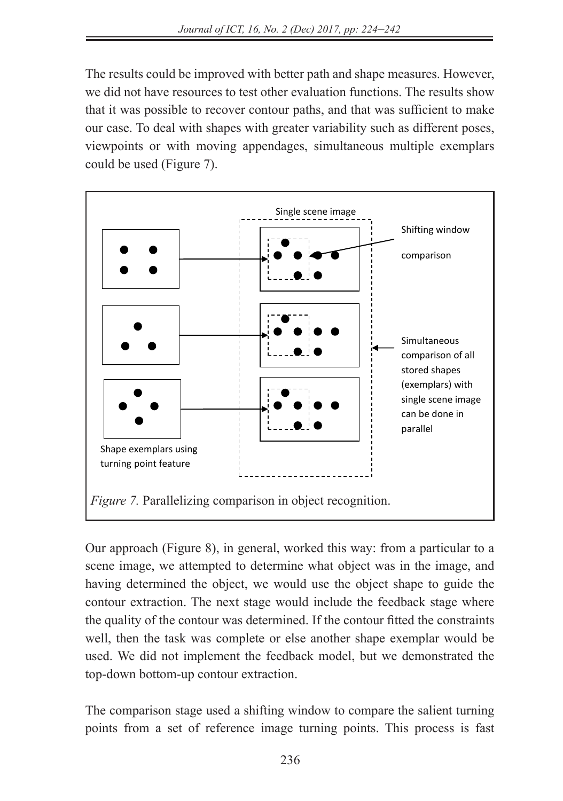The results could be improved with better path and shape measures. However, we did not have resources to test other evaluation functions. The results show that it was possible to recover contour paths, and that was sufficient to make our case. To deal with shapes with greater variability such as different poses, viewpoints or with moving appendages, simultaneous multiple exemplars could be used (Figure 7).



Our approach (Figure 8), in general, worked this way: from a particular to a scene image, we attempted to determine what object was in the image, and having determined the object, we would use the object shape to guide the contour extraction. The next stage would include the feedback stage where the quality of the contour was determined. If the contour fitted the constraints well, then the task was complete or else another shape exemplar would be used. We did not implement the feedback model, but we demonstrated the top-down bottom-up contour extraction.

The comparison stage used a shifting window to compare the salient turning points from a set of reference image turning points. This process is fast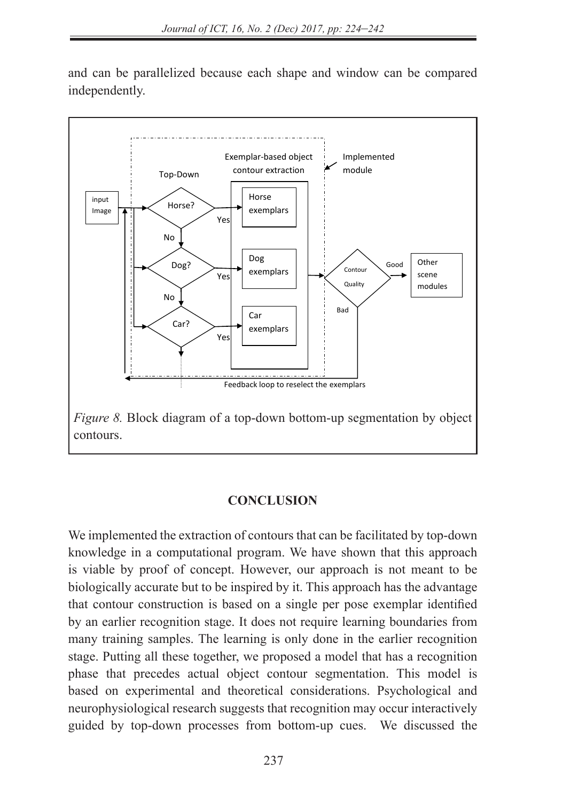and can be parallelized because each shape and window can be compared independently.



#### **CONCLUSION**

We implemented the extraction of contours that can be facilitated by top-down knowledge in a computational program. We have shown that this approach is viable by proof of concept. However, our approach is not meant to be biologically accurate but to be inspired by it. This approach has the advantage that contour construction is based on a single per pose exemplar identified by an earlier recognition stage. It does not require learning boundaries from many training samples. The learning is only done in the earlier recognition stage. Putting all these together, we proposed a model that has a recognition 16 phase that precedes actual object contour segmentation. This model is based on experimental and theoretical considerations. Psychological and neurophysiological research suggests that recognition may occur interactively guided by top-down processes from bottom-up cues. We discussed the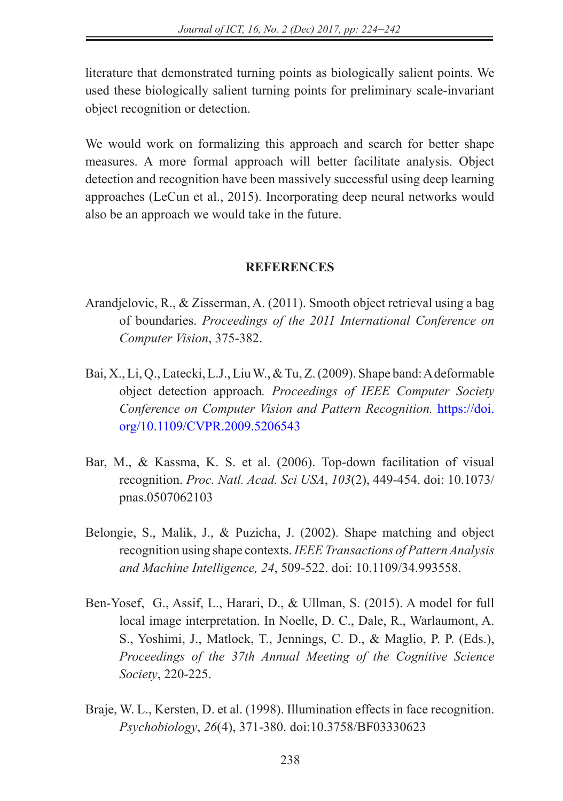literature that demonstrated turning points as biologically salient points. We used these biologically salient turning points for preliminary scale-invariant object recognition or detection.

We would work on formalizing this approach and search for better shape measures. A more formal approach will better facilitate analysis. Object detection and recognition have been massively successful using deep learning approaches (LeCun et al., 2015). Incorporating deep neural networks would also be an approach we would take in the future.

## **REFERENCES**

- Arandjelovic, R., & Zisserman, A. (2011). Smooth object retrieval using a bag of boundaries. *Proceedings of the 2011 International Conference on Computer Vision*, 375-382.
- Bai, X., Li, Q., Latecki, L.J., Liu W., & Tu, Z. (2009). Shape band: A deformable object detection approach*. Proceedings of IEEE Computer Society Conference on Computer Vision and Pattern Recognition.* https://doi. org/10.1109/CVPR.2009.5206543
- Bar, M., & Kassma, K. S. et al. (2006). Top-down facilitation of visual recognition. *Proc. Natl. Acad. Sci USA*, *103*(2), 449-454. doi: 10.1073/ pnas.0507062103
- Belongie, S., Malik, J., & Puzicha, J. (2002). Shape matching and object recognition using shape contexts. *IEEE Transactions of Pattern Analysis and Machine Intelligence, 24*, 509-522. doi: 10.1109/34.993558.
- Ben-Yosef, G., Assif, L., Harari, D., & Ullman, S. (2015). A model for full local image interpretation. In Noelle, D. C., Dale, R., Warlaumont, A. S., Yoshimi, J., Matlock, T., Jennings, C. D., & Maglio, P. P. (Eds.), *Proceedings of the 37th Annual Meeting of the Cognitive Science Society*, 220-225.
- Braje, W. L., Kersten, D. et al. (1998). Illumination effects in face recognition. *Psychobiology*, *26*(4), 371-380. doi:10.3758/BF03330623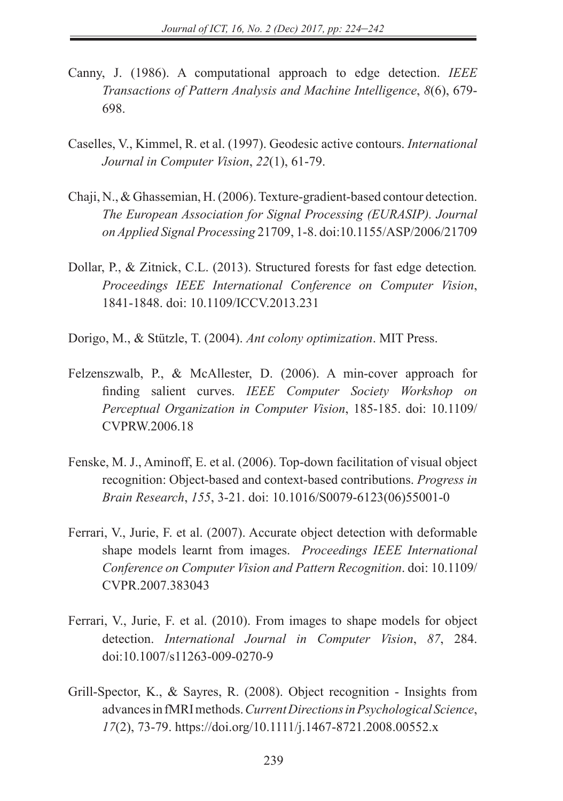- Canny, J. (1986). A computational approach to edge detection. *IEEE Transactions of Pattern Analysis and Machine Intelligence*, *8*(6), 679- 698.
- Caselles, V., Kimmel, R. et al. (1997). Geodesic active contours. *International Journal in Computer Vision*, *22*(1), 61-79.
- Chaji, N., & Ghassemian, H. (2006). Texture-gradient-based contour detection. *The European Association for Signal Processing (EURASIP). Journal on Applied Signal Processing* 21709, 1-8. doi:10.1155/ASP/2006/21709
- Dollar, P., & Zitnick, C.L. (2013). Structured forests for fast edge detection*. Proceedings IEEE International Conference on Computer Vision*, 1841-1848. doi: 10.1109/ICCV.2013.231
- Dorigo, M., & Stützle, T. (2004). *Ant colony optimization*. MIT Press.
- Felzenszwalb, P., & McAllester, D. (2006). A min-cover approach for finding salient curves. *IEEE Computer Society Workshop on Perceptual Organization in Computer Vision*, 185-185. doi: 10.1109/ CVPRW.2006.18
- Fenske, M. J., Aminoff, E. et al. (2006). Top-down facilitation of visual object recognition: Object-based and context-based contributions. *Progress in Brain Research*, *155*, 3-21. doi: 10.1016/S0079-6123(06)55001-0
- Ferrari, V., Jurie, F. et al. (2007). Accurate object detection with deformable shape models learnt from images. *Proceedings IEEE International Conference on Computer Vision and Pattern Recognition*. doi: 10.1109/ CVPR.2007.383043
- Ferrari, V., Jurie, F. et al. (2010). From images to shape models for object detection. *International Journal in Computer Vision*, *87*, 284. doi:10.1007/s11263-009-0270-9
- Grill-Spector, K., & Sayres, R. (2008). Object recognition Insights from advances in fMRI methods. *Current Directions in Psychological Science*, *17*(2), 73-79. https://doi.org/10.1111/j.1467-8721.2008.00552.x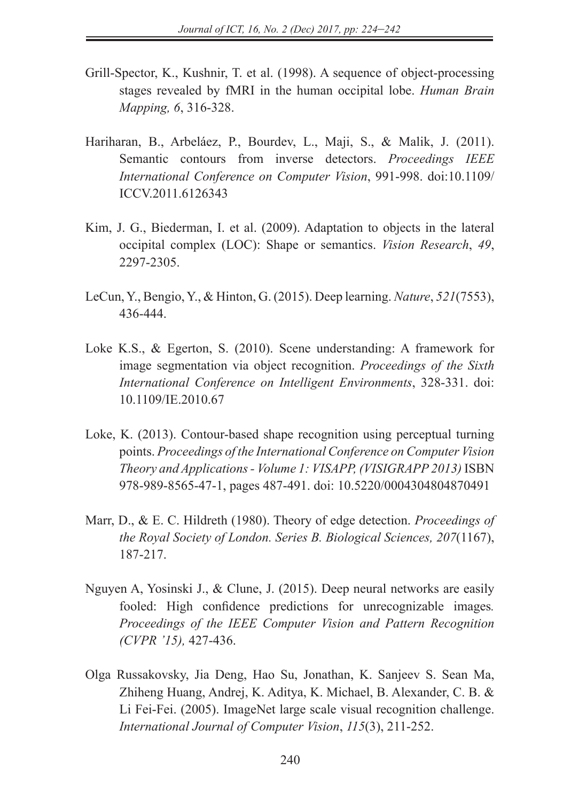- Grill-Spector, K., Kushnir, T. et al. (1998). A sequence of object-processing stages revealed by fMRI in the human occipital lobe. *Human Brain Mapping, 6*, 316-328.
- Hariharan, B., Arbeláez, P., Bourdev, L., Maji, S., & Malik, J. (2011). Semantic contours from inverse detectors. *Proceedings IEEE International Conference on Computer Vision*, 991-998. doi:10.1109/ ICCV.2011.6126343
- Kim, J. G., Biederman, I. et al. (2009). Adaptation to objects in the lateral occipital complex (LOC): Shape or semantics. *Vision Research*, *49*, 2297-2305.
- LeCun, Y., Bengio, Y., & Hinton, G. (2015). Deep learning. *Nature*, *521*(7553), 436-444.
- Loke K.S., & Egerton, S. (2010). Scene understanding: A framework for image segmentation via object recognition. *Proceedings of the Sixth International Conference on Intelligent Environments*, 328-331. doi: 10.1109/IE.2010.67
- Loke, K. (2013). Contour-based shape recognition using perceptual turning points. *Proceedings of the International Conference on Computer Vision Theory and Applications - Volume 1: VISAPP, (VISIGRAPP 2013)* ISBN 978-989-8565-47-1, pages 487-491. doi: 10.5220/0004304804870491
- Marr, D., & E. C. Hildreth (1980). Theory of edge detection. *Proceedings of the Royal Society of London. Series B. Biological Sciences, 207*(1167), 187-217.
- Nguyen A, Yosinski J., & Clune, J. (2015). Deep neural networks are easily fooled: High confidence predictions for unrecognizable images*. Proceedings of the IEEE Computer Vision and Pattern Recognition (CVPR '15),* 427-436.
- Olga Russakovsky, Jia Deng, Hao Su, Jonathan, K. Sanjeev S. Sean Ma, Zhiheng Huang, Andrej, K. Aditya, K. Michael, B. Alexander, C. B. & Li Fei-Fei. (2005). ImageNet large scale visual recognition challenge. *International Journal of Computer Vision*, *115*(3), 211-252.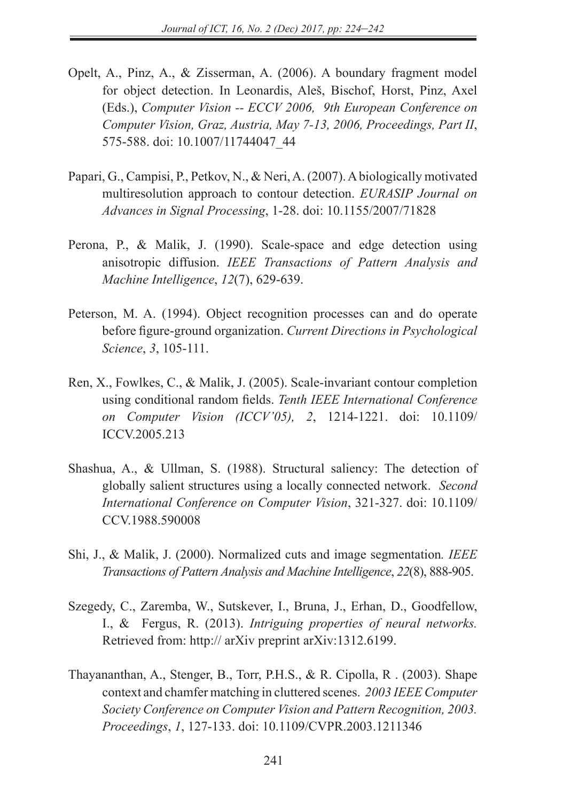- Opelt, A., Pinz, A., & Zisserman, A. (2006). A boundary fragment model for object detection. In Leonardis, Aleš, Bischof, Horst, Pinz, Axel (Eds.), *Computer Vision -- ECCV 2006, 9th European Conference on Computer Vision, Graz, Austria, May 7-13, 2006, Proceedings, Part II*, 575-588. doi: 10.1007/11744047\_44
- Papari, G., Campisi, P., Petkov, N., & Neri, A. (2007). A biologically motivated multiresolution approach to contour detection. *EURASIP Journal on Advances in Signal Processing*, 1-28. doi: 10.1155/2007/71828
- Perona, P., & Malik, J. (1990). Scale-space and edge detection using anisotropic diffusion. *IEEE Transactions of Pattern Analysis and Machine Intelligence*, *12*(7), 629-639.
- Peterson, M. A. (1994). Object recognition processes can and do operate before figure-ground organization. *Current Directions in Psychological Science*, *3*, 105-111.
- Ren, X., Fowlkes, C., & Malik, J. (2005). Scale-invariant contour completion using conditional random fields. *Tenth IEEE International Conference on Computer Vision (ICCV'05), 2*, 1214-1221. doi: 10.1109/ ICCV.2005.213
- Shashua, A., & Ullman, S. (1988). Structural saliency: The detection of globally salient structures using a locally connected network. *Second International Conference on Computer Vision*, 321-327. doi: 10.1109/ CCV.1988.590008
- Shi, J., & Malik, J. (2000). Normalized cuts and image segmentation*. IEEE Transactions of Pattern Analysis and Machine Intelligence*, *22*(8), 888-905.
- Szegedy, C., Zaremba, W., Sutskever, I., Bruna, J., Erhan, D., Goodfellow, I., & Fergus, R. (2013). *Intriguing properties of neural networks.* Retrieved from: http:// arXiv preprint arXiv:1312.6199.
- Thayananthan, A., Stenger, B., Torr, P.H.S., & R. Cipolla, R . (2003). Shape context and chamfer matching in cluttered scenes. *2003 IEEE Computer Society Conference on Computer Vision and Pattern Recognition, 2003. Proceedings*, *1*, 127-133. doi: 10.1109/CVPR.2003.1211346